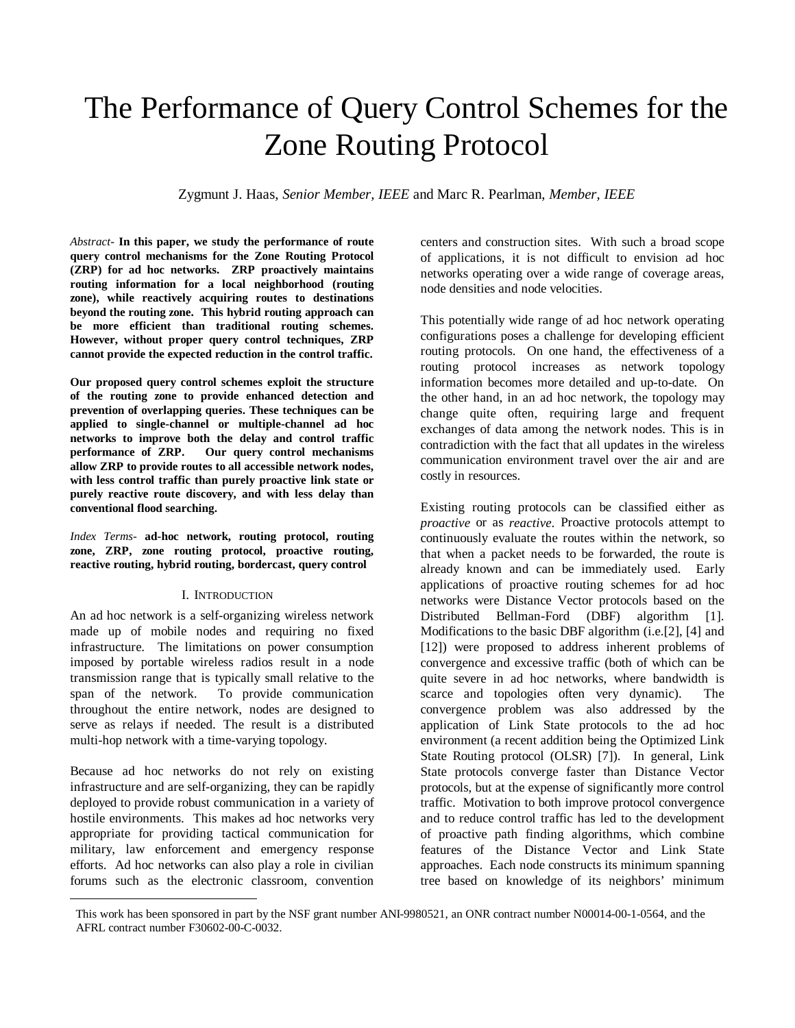# The Performance of Query Control Schemes for the Zone Routing Protocol

Zygmunt J. Haas, *Senior Member, IEEE* and Marc R. Pearlman, *Member, IEEE*

*Abstract-* **In this paper, we study the performance of route query control mechanisms for the Zone Routing Protocol (ZRP) for ad hoc networks. ZRP proactively maintains routing information for a local neighborhood (routing zone), while reactively acquiring routes to destinations beyond the routing zone. This hybrid routing approach can be more efficient than traditional routing schemes. However, without proper query control techniques, ZRP cannot provide the expected reduction in the control traffic.**

**Our proposed query control schemes exploit the structure of the routing zone to provide enhanced detection and prevention of overlapping queries. These techniques can be applied to single-channel or multiple-channel ad hoc networks to improve both the delay and control traffic performance of ZRP. Our query control mechanisms allow ZRP to provide routes to all accessible network nodes, with less control traffic than purely proactive link state or purely reactive route discovery, and with less delay than conventional flood searching.**

*Index Terms-* **ad-hoc network, routing protocol, routing zone, ZRP, zone routing protocol, proactive routing, reactive routing, hybrid routing, bordercast, query control**

## I. INTRODUCTION

An ad hoc network is a self-organizing wireless network made up of mobile nodes and requiring no fixed infrastructure. The limitations on power consumption imposed by portable wireless radios result in a node transmission range that is typically small relative to the span of the network. To provide communication throughout the entire network, nodes are designed to serve as relays if needed. The result is a distributed multi-hop network with a time-varying topology.

Because ad hoc networks do not rely on existing infrastructure and are self-organizing, they can be rapidly deployed to provide robust communication in a variety of hostile environments. This makes ad hoc networks very appropriate for providing tactical communication for military, law enforcement and emergency response efforts. Ad hoc networks can also play a role in civilian forums such as the electronic classroom, convention

 $\overline{a}$ 

centers and construction sites. With such a broad scope of applications, it is not difficult to envision ad hoc networks operating over a wide range of coverage areas, node densities and node velocities.

This potentially wide range of ad hoc network operating configurations poses a challenge for developing efficient routing protocols. On one hand, the effectiveness of a routing protocol increases as network topology information becomes more detailed and up-to-date. On the other hand, in an ad hoc network, the topology may change quite often, requiring large and frequent exchanges of data among the network nodes. This is in contradiction with the fact that all updates in the wireless communication environment travel over the air and are costly in resources.

Existing routing protocols can be classified either as *proactive* or as *reactive.* Proactive protocols attempt to continuously evaluate the routes within the network, so that when a packet needs to be forwarded, the route is already known and can be immediately used. Early applications of proactive routing schemes for ad hoc networks were Distance Vector protocols based on the Distributed Bellman-Ford (DBF) algorithm [1]. Modifications to the basic DBF algorithm (i.e.[2], [4] and [12]) were proposed to address inherent problems of convergence and excessive traffic (both of which can be quite severe in ad hoc networks, where bandwidth is scarce and topologies often very dynamic). The convergence problem was also addressed by the application of Link State protocols to the ad hoc environment (a recent addition being the Optimized Link State Routing protocol (OLSR) [7]). In general, Link State protocols converge faster than Distance Vector protocols, but at the expense of significantly more control traffic. Motivation to both improve protocol convergence and to reduce control traffic has led to the development of proactive path finding algorithms, which combine features of the Distance Vector and Link State approaches. Each node constructs its minimum spanning tree based on knowledge of its neighbors' minimum

This work has been sponsored in part by the NSF grant number ANI-9980521, an ONR contract number N00014-00-1-0564, and the AFRL contract number F30602-00-C-0032.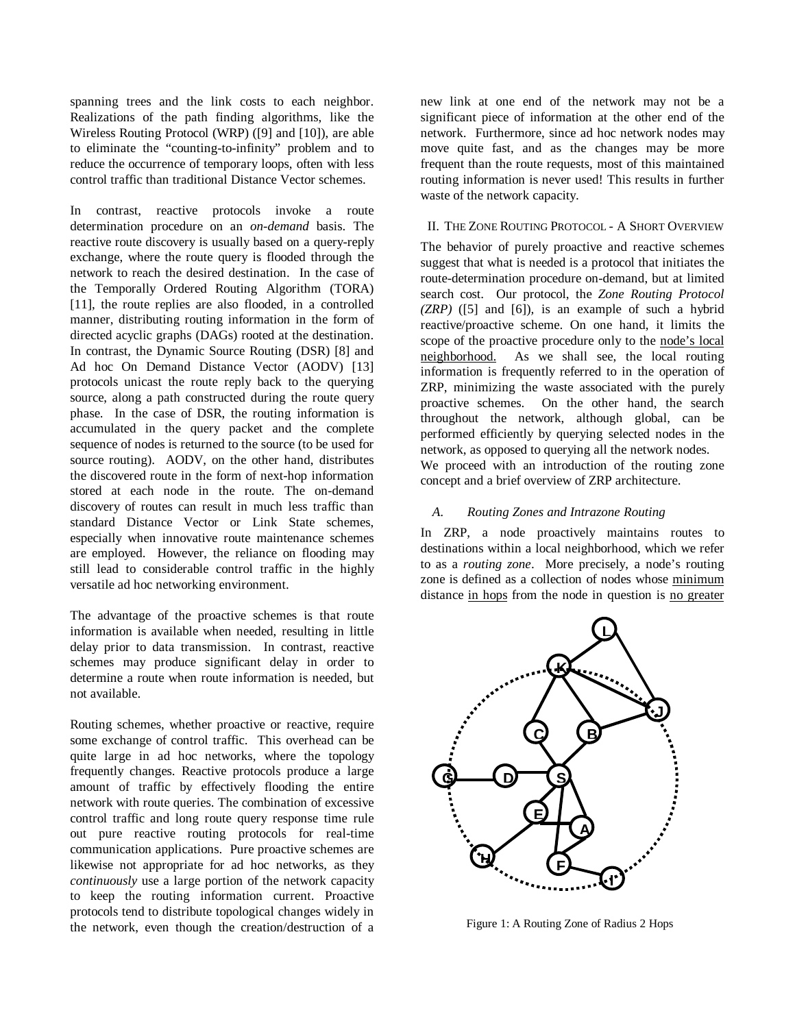spanning trees and the link costs to each neighbor. Realizations of the path finding algorithms, like the Wireless Routing Protocol (WRP) ([9] and [10]), are able to eliminate the "counting-to-infinity" problem and to reduce the occurrence of temporary loops, often with less control traffic than traditional Distance Vector schemes.

In contrast, reactive protocols invoke a route determination procedure on an *on-demand* basis. The reactive route discovery is usually based on a query-reply exchange, where the route query is flooded through the network to reach the desired destination. In the case of the Temporally Ordered Routing Algorithm (TORA) [11], the route replies are also flooded, in a controlled manner, distributing routing information in the form of directed acyclic graphs (DAGs) rooted at the destination. In contrast, the Dynamic Source Routing (DSR) [8] and Ad hoc On Demand Distance Vector (AODV) [13] protocols unicast the route reply back to the querying source, along a path constructed during the route query phase. In the case of DSR, the routing information is accumulated in the query packet and the complete sequence of nodes is returned to the source (to be used for source routing). AODV, on the other hand, distributes the discovered route in the form of next-hop information stored at each node in the route. The on-demand discovery of routes can result in much less traffic than standard Distance Vector or Link State schemes, especially when innovative route maintenance schemes are employed. However, the reliance on flooding may still lead to considerable control traffic in the highly versatile ad hoc networking environment.

The advantage of the proactive schemes is that route information is available when needed, resulting in little delay prior to data transmission. In contrast, reactive schemes may produce significant delay in order to determine a route when route information is needed, but not available.

Routing schemes, whether proactive or reactive, require some exchange of control traffic. This overhead can be quite large in ad hoc networks, where the topology frequently changes. Reactive protocols produce a large amount of traffic by effectively flooding the entire network with route queries. The combination of excessive control traffic and long route query response time rule out pure reactive routing protocols for real-time communication applications. Pure proactive schemes are likewise not appropriate for ad hoc networks, as they *continuously* use a large portion of the network capacity to keep the routing information current. Proactive protocols tend to distribute topological changes widely in the network, even though the creation/destruction of a new link at one end of the network may not be a significant piece of information at the other end of the network. Furthermore, since ad hoc network nodes may move quite fast, and as the changes may be more frequent than the route requests, most of this maintained routing information is never used! This results in further waste of the network capacity.

#### II. THE ZONE ROUTING PROTOCOL - A SHORT OVERVIEW

The behavior of purely proactive and reactive schemes suggest that what is needed is a protocol that initiates the route-determination procedure on-demand, but at limited search cost. Our protocol, the *Zone Routing Protocol (ZRP)* ([5] and [6])*,* is an example of such a hybrid reactive/proactive scheme. On one hand, it limits the scope of the proactive procedure only to the node's local neighborhood. As we shall see, the local routing information is frequently referred to in the operation of ZRP, minimizing the waste associated with the purely proactive schemes. On the other hand, the search throughout the network, although global, can be performed efficiently by querying selected nodes in the network, as opposed to querying all the network nodes. We proceed with an introduction of the routing zone concept and a brief overview of ZRP architecture.

#### *A. Routing Zones and Intrazone Routing*

In ZRP, a node proactively maintains routes to destinations within a local neighborhood, which we refer to as a *routing zone*. More precisely, a node's routing zone is defined as a collection of nodes whose minimum distance in hops from the node in question is no greater



Figure 1: A Routing Zone of Radius 2 Hops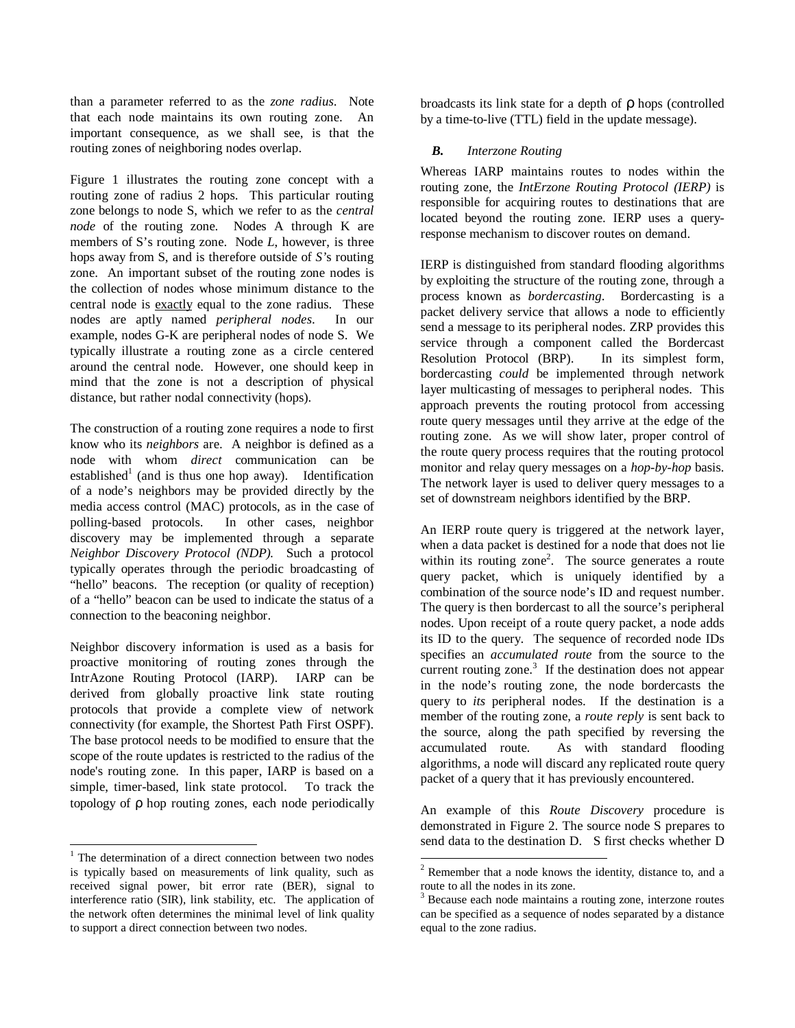than a parameter referred to as the *zone radius*. Note that each node maintains its own routing zone. An important consequence, as we shall see, is that the routing zones of neighboring nodes overlap.

Figure 1 illustrates the routing zone concept with a routing zone of radius 2 hops. This particular routing zone belongs to node S, which we refer to as the *central node* of the routing zone. Nodes A through K are members of S's routing zone. Node *L*, however, is three hops away from S, and is therefore outside of *S'*s routing zone. An important subset of the routing zone nodes is the collection of nodes whose minimum distance to the central node is exactly equal to the zone radius. These nodes are aptly named *peripheral nodes*. In our example, nodes G-K are peripheral nodes of node S. We typically illustrate a routing zone as a circle centered around the central node. However, one should keep in mind that the zone is not a description of physical distance, but rather nodal connectivity (hops).

The construction of a routing zone requires a node to first know who its *neighbors* are. A neighbor is defined as a node with whom *direct* communication can be established<sup>1</sup> (and is thus one hop away). Identification of a node's neighbors may be provided directly by the media access control (MAC) protocols, as in the case of polling-based protocols. In other cases, neighbor discovery may be implemented through a separate *Neighbor Discovery Protocol (NDP).* Such a protocol typically operates through the periodic broadcasting of "hello" beacons. The reception (or quality of reception) of a "hello" beacon can be used to indicate the status of a connection to the beaconing neighbor.

Neighbor discovery information is used as a basis for proactive monitoring of routing zones through the IntrAzone Routing Protocol (IARP). IARP can be derived from globally proactive link state routing protocols that provide a complete view of network connectivity (for example, the Shortest Path First OSPF). The base protocol needs to be modified to ensure that the scope of the route updates is restricted to the radius of the node's routing zone. In this paper, IARP is based on a simple, timer-based, link state protocol. To track the topology of ρ hop routing zones, each node periodically broadcasts its link state for a depth of ρ hops (controlled by a time-to-live (TTL) field in the update message).

## *B. Interzone Routing*

Whereas IARP maintains routes to nodes within the routing zone, the *IntErzone Routing Protocol (IERP)* is responsible for acquiring routes to destinations that are located beyond the routing zone. IERP uses a queryresponse mechanism to discover routes on demand.

IERP is distinguished from standard flooding algorithms by exploiting the structure of the routing zone, through a process known as *bordercasting*. Bordercasting is a packet delivery service that allows a node to efficiently send a message to its peripheral nodes. ZRP provides this service through a component called the Bordercast Resolution Protocol (BRP). In its simplest form, bordercasting *could* be implemented through network layer multicasting of messages to peripheral nodes. This approach prevents the routing protocol from accessing route query messages until they arrive at the edge of the routing zone. As we will show later, proper control of the route query process requires that the routing protocol monitor and relay query messages on a *hop-by-hop* basis. The network layer is used to deliver query messages to a set of downstream neighbors identified by the BRP.

An IERP route query is triggered at the network layer, when a data packet is destined for a node that does not lie within its routing zone<sup>2</sup>. The source generates a route query packet, which is uniquely identified by a combination of the source node's ID and request number. The query is then bordercast to all the source's peripheral nodes. Upon receipt of a route query packet, a node adds its ID to the query. The sequence of recorded node IDs specifies an *accumulated route* from the source to the current routing zone. $3$  If the destination does not appear in the node's routing zone, the node bordercasts the query to *its* peripheral nodes. If the destination is a member of the routing zone, a *route reply* is sent back to the source, along the path specified by reversing the accumulated route. As with standard flooding algorithms, a node will discard any replicated route query packet of a query that it has previously encountered.

An example of this *Route Discovery* procedure is demonstrated in Figure 2. The source node S prepares to send data to the destination D. S first checks whether D

<sup>&</sup>lt;sup>1</sup> The determination of a direct connection between two nodes is typically based on measurements of link quality, such as received signal power, bit error rate (BER), signal to interference ratio (SIR), link stability, etc. The application of the network often determines the minimal level of link quality to support a direct connection between two nodes.

<sup>&</sup>lt;sup>2</sup> Remember that a node knows the identity, distance to, and a route to all the nodes in its zone.

<sup>&</sup>lt;sup>3</sup> Because each node maintains a routing zone, interzone routes can be specified as a sequence of nodes separated by a distance equal to the zone radius.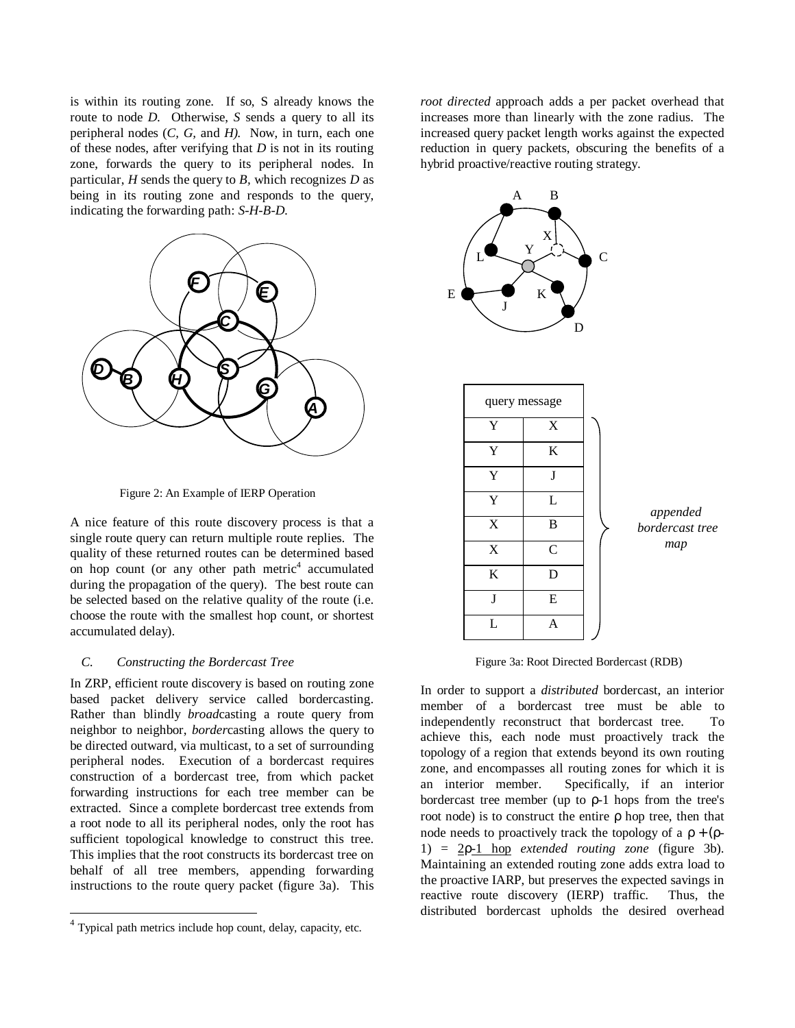is within its routing zone. If so, S already knows the route to node *D.* Otherwise, *S* sends a query to all its peripheral nodes (*C, G,* and *H).* Now, in turn, each one of these nodes, after verifying that *D* is not in its routing zone, forwards the query to its peripheral nodes. In particular, *H* sends the query to *B,* which recognizes *D* as being in its routing zone and responds to the query, indicating the forwarding path: *S-H-B-D.*



Figure 2: An Example of IERP Operation

A nice feature of this route discovery process is that a single route query can return multiple route replies. The quality of these returned routes can be determined based on hop count (or any other path metric<sup>4</sup> accumulated during the propagation of the query). The best route can be selected based on the relative quality of the route (i.e. choose the route with the smallest hop count, or shortest accumulated delay).

## *C. Constructing the Bordercast Tree*

In ZRP, efficient route discovery is based on routing zone based packet delivery service called bordercasting. Rather than blindly *broad*casting a route query from neighbor to neighbor, *border*casting allows the query to be directed outward, via multicast, to a set of surrounding peripheral nodes. Execution of a bordercast requires construction of a bordercast tree, from which packet forwarding instructions for each tree member can be extracted. Since a complete bordercast tree extends from a root node to all its peripheral nodes, only the root has sufficient topological knowledge to construct this tree. This implies that the root constructs its bordercast tree on behalf of all tree members, appending forwarding instructions to the route query packet (figure 3a). This

 $\overline{a}$ 

*root directed* approach adds a per packet overhead that increases more than linearly with the zone radius. The increased query packet length works against the expected reduction in query packets, obscuring the benefits of a hybrid proactive/reactive routing strategy.



Figure 3a: Root Directed Bordercast (RDB)

In order to support a *distributed* bordercast, an interior member of a bordercast tree must be able to independently reconstruct that bordercast tree. To achieve this, each node must proactively track the topology of a region that extends beyond its own routing zone, and encompasses all routing zones for which it is an interior member. Specifically, if an interior bordercast tree member (up to ρ-1 hops from the tree's root node) is to construct the entire  $ρ$  hop tree, then that node needs to proactively track the topology of a  $\rho + (\rho - \rho)$ 1) = 2ρ-1 hop *extended routing zone* (figure 3b). Maintaining an extended routing zone adds extra load to the proactive IARP, but preserves the expected savings in reactive route discovery (IERP) traffic. Thus, the distributed bordercast upholds the desired overhead

<sup>4</sup> Typical path metrics include hop count, delay, capacity, etc.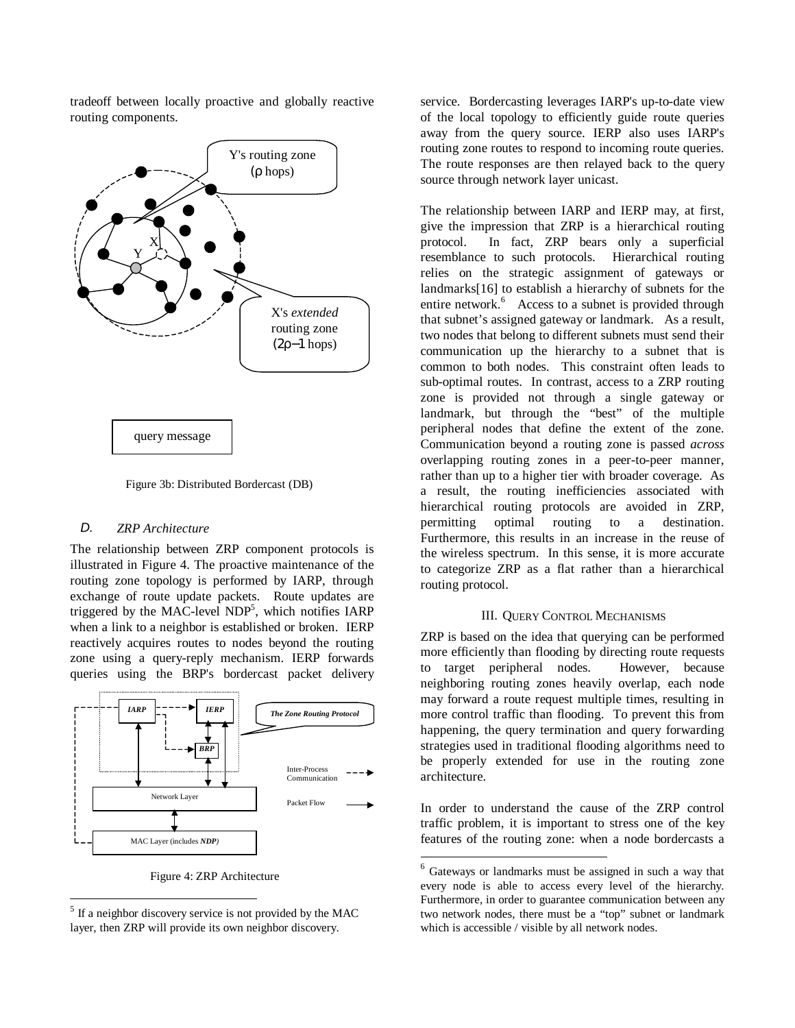tradeoff between locally proactive and globally reactive routing components.



Figure 3b: Distributed Bordercast (DB)

## D. *ZRP Architecture*

 $\overline{a}$ 

The relationship between ZRP component protocols is illustrated in Figure 4. The proactive maintenance of the routing zone topology is performed by IARP, through exchange of route update packets. Route updates are triggered by the MAC-level NDP<sup>5</sup>, which notifies IARP when a link to a neighbor is established or broken. IERP reactively acquires routes to nodes beyond the routing zone using a query-reply mechanism. IERP forwards queries using the BRP's bordercast packet delivery



Figure 4: ZRP Architecture

service. Bordercasting leverages IARP's up-to-date view of the local topology to efficiently guide route queries away from the query source. IERP also uses IARP's routing zone routes to respond to incoming route queries. The route responses are then relayed back to the query source through network layer unicast.

The relationship between IARP and IERP may, at first, give the impression that ZRP is a hierarchical routing protocol. In fact, ZRP bears only a superficial resemblance to such protocols. Hierarchical routing relies on the strategic assignment of gateways or landmarks[16] to establish a hierarchy of subnets for the entire network.<sup>6</sup> Access to a subnet is provided through that subnet's assigned gateway or landmark. As a result, two nodes that belong to different subnets must send their communication up the hierarchy to a subnet that is common to both nodes. This constraint often leads to sub-optimal routes. In contrast, access to a ZRP routing zone is provided not through a single gateway or landmark, but through the "best" of the multiple peripheral nodes that define the extent of the zone. Communication beyond a routing zone is passed *across* overlapping routing zones in a peer-to-peer manner, rather than up to a higher tier with broader coverage. As a result, the routing inefficiencies associated with hierarchical routing protocols are avoided in ZRP, permitting optimal routing to a destination. Furthermore, this results in an increase in the reuse of the wireless spectrum. In this sense, it is more accurate to categorize ZRP as a flat rather than a hierarchical routing protocol.

#### III. QUERY CONTROL MECHANISMS

ZRP is based on the idea that querying can be performed more efficiently than flooding by directing route requests to target peripheral nodes. However, because neighboring routing zones heavily overlap, each node may forward a route request multiple times, resulting in more control traffic than flooding. To prevent this from happening, the query termination and query forwarding strategies used in traditional flooding algorithms need to be properly extended for use in the routing zone architecture.

In order to understand the cause of the ZRP control traffic problem, it is important to stress one of the key features of the routing zone: when a node bordercasts a

 $\overline{a}$ 

 $<sup>5</sup>$  If a neighbor discovery service is not provided by the MAC</sup> layer, then ZRP will provide its own neighbor discovery.

<sup>6</sup> Gateways or landmarks must be assigned in such a way that every node is able to access every level of the hierarchy. Furthermore, in order to guarantee communication between any two network nodes, there must be a "top" subnet or landmark which is accessible / visible by all network nodes.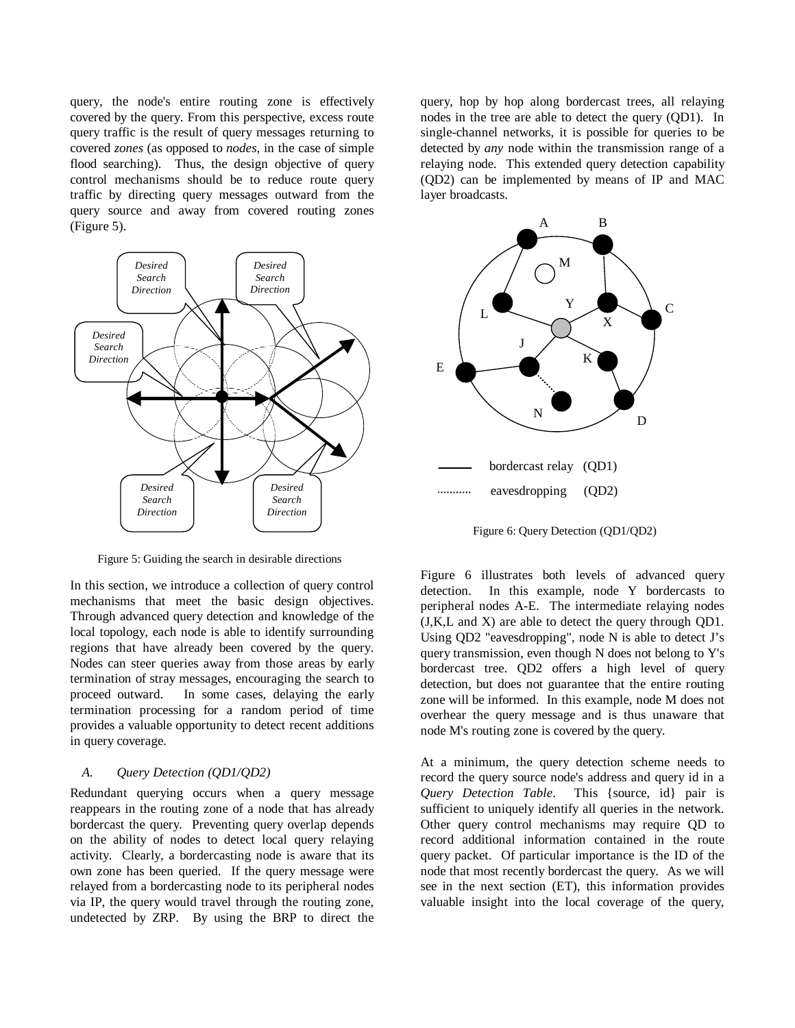query, the node's entire routing zone is effectively covered by the query. From this perspective, excess route query traffic is the result of query messages returning to covered *zones* (as opposed to *nodes*, in the case of simple flood searching). Thus, the design objective of query control mechanisms should be to reduce route query traffic by directing query messages outward from the query source and away from covered routing zones (Figure 5).



Figure 5: Guiding the search in desirable directions

In this section, we introduce a collection of query control mechanisms that meet the basic design objectives. Through advanced query detection and knowledge of the local topology, each node is able to identify surrounding regions that have already been covered by the query. Nodes can steer queries away from those areas by early termination of stray messages, encouraging the search to proceed outward. In some cases, delaying the early termination processing for a random period of time provides a valuable opportunity to detect recent additions in query coverage.

## *A. Query Detection (QD1/QD2)*

Redundant querying occurs when a query message reappears in the routing zone of a node that has already bordercast the query. Preventing query overlap depends on the ability of nodes to detect local query relaying activity. Clearly, a bordercasting node is aware that its own zone has been queried. If the query message were relayed from a bordercasting node to its peripheral nodes via IP, the query would travel through the routing zone, undetected by ZRP. By using the BRP to direct the query, hop by hop along bordercast trees, all relaying nodes in the tree are able to detect the query (QD1). In single-channel networks, it is possible for queries to be detected by *any* node within the transmission range of a relaying node. This extended query detection capability (QD2) can be implemented by means of IP and MAC layer broadcasts.



Figure 6 illustrates both levels of advanced query detection. In this example, node Y bordercasts to peripheral nodes A-E. The intermediate relaying nodes (J,K,L and X) are able to detect the query through QD1. Using QD2 "eavesdropping", node N is able to detect J's query transmission, even though N does not belong to Y's bordercast tree. QD2 offers a high level of query detection, but does not guarantee that the entire routing zone will be informed. In this example, node M does not overhear the query message and is thus unaware that node M's routing zone is covered by the query.

At a minimum, the query detection scheme needs to record the query source node's address and query id in a *Query Detection Table*. This {source, id} pair is sufficient to uniquely identify all queries in the network. Other query control mechanisms may require QD to record additional information contained in the route query packet. Of particular importance is the ID of the node that most recently bordercast the query. As we will see in the next section (ET), this information provides valuable insight into the local coverage of the query,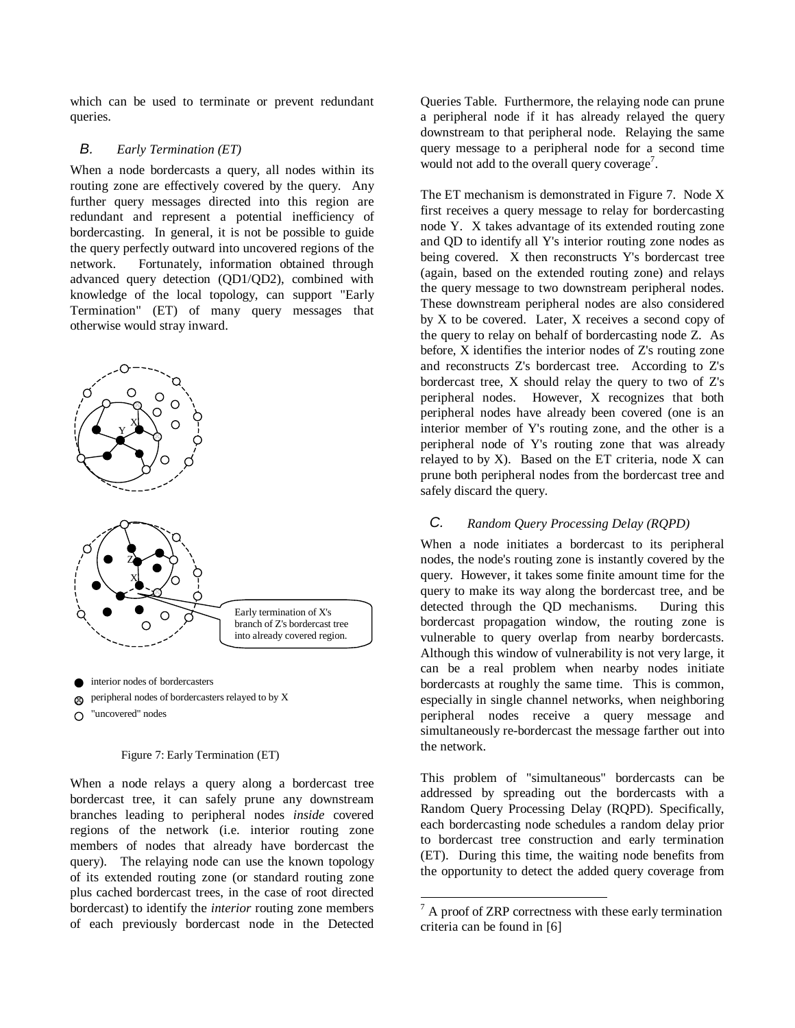which can be used to terminate or prevent redundant queries.

# B. *Early Termination (ET)*

When a node bordercasts a query, all nodes within its routing zone are effectively covered by the query. Any further query messages directed into this region are redundant and represent a potential inefficiency of bordercasting. In general, it is not be possible to guide the query perfectly outward into uncovered regions of the network. Fortunately, information obtained through advanced query detection (QD1/QD2), combined with knowledge of the local topology, can support "Early Termination" (ET) of many query messages that otherwise would stray inward.



- interior nodes of bordercasters
- peripheral nodes of bordercasters relayed to by X
- O "uncovered" nodes

Figure 7: Early Termination (ET)

When a node relays a query along a bordercast tree bordercast tree, it can safely prune any downstream branches leading to peripheral nodes *inside* covered regions of the network (i.e. interior routing zone members of nodes that already have bordercast the query). The relaying node can use the known topology of its extended routing zone (or standard routing zone plus cached bordercast trees, in the case of root directed bordercast) to identify the *interior* routing zone members of each previously bordercast node in the Detected Queries Table. Furthermore, the relaying node can prune a peripheral node if it has already relayed the query downstream to that peripheral node. Relaying the same query message to a peripheral node for a second time would not add to the overall query coverage<sup>7</sup>.

The ET mechanism is demonstrated in Figure 7. Node X first receives a query message to relay for bordercasting node Y. X takes advantage of its extended routing zone and QD to identify all Y's interior routing zone nodes as being covered. X then reconstructs Y's bordercast tree (again, based on the extended routing zone) and relays the query message to two downstream peripheral nodes. These downstream peripheral nodes are also considered by X to be covered. Later, X receives a second copy of the query to relay on behalf of bordercasting node Z. As before, X identifies the interior nodes of Z's routing zone and reconstructs Z's bordercast tree. According to Z's bordercast tree, X should relay the query to two of Z's peripheral nodes. However, X recognizes that both peripheral nodes have already been covered (one is an interior member of Y's routing zone, and the other is a peripheral node of Y's routing zone that was already relayed to by  $X$ ). Based on the ET criteria, node  $X$  can prune both peripheral nodes from the bordercast tree and safely discard the query.

# C. *Random Query Processing Delay (RQPD)*

When a node initiates a bordercast to its peripheral nodes, the node's routing zone is instantly covered by the query. However, it takes some finite amount time for the query to make its way along the bordercast tree, and be detected through the QD mechanisms. During this bordercast propagation window, the routing zone is vulnerable to query overlap from nearby bordercasts. Although this window of vulnerability is not very large, it can be a real problem when nearby nodes initiate bordercasts at roughly the same time. This is common, especially in single channel networks, when neighboring peripheral nodes receive a query message and simultaneously re-bordercast the message farther out into the network.

This problem of "simultaneous" bordercasts can be addressed by spreading out the bordercasts with a Random Query Processing Delay (RQPD). Specifically, each bordercasting node schedules a random delay prior to bordercast tree construction and early termination (ET). During this time, the waiting node benefits from the opportunity to detect the added query coverage from

<sup>&</sup>lt;sup>-</sup>  $^7$  A proof of ZRP correctness with these early termination criteria can be found in [6]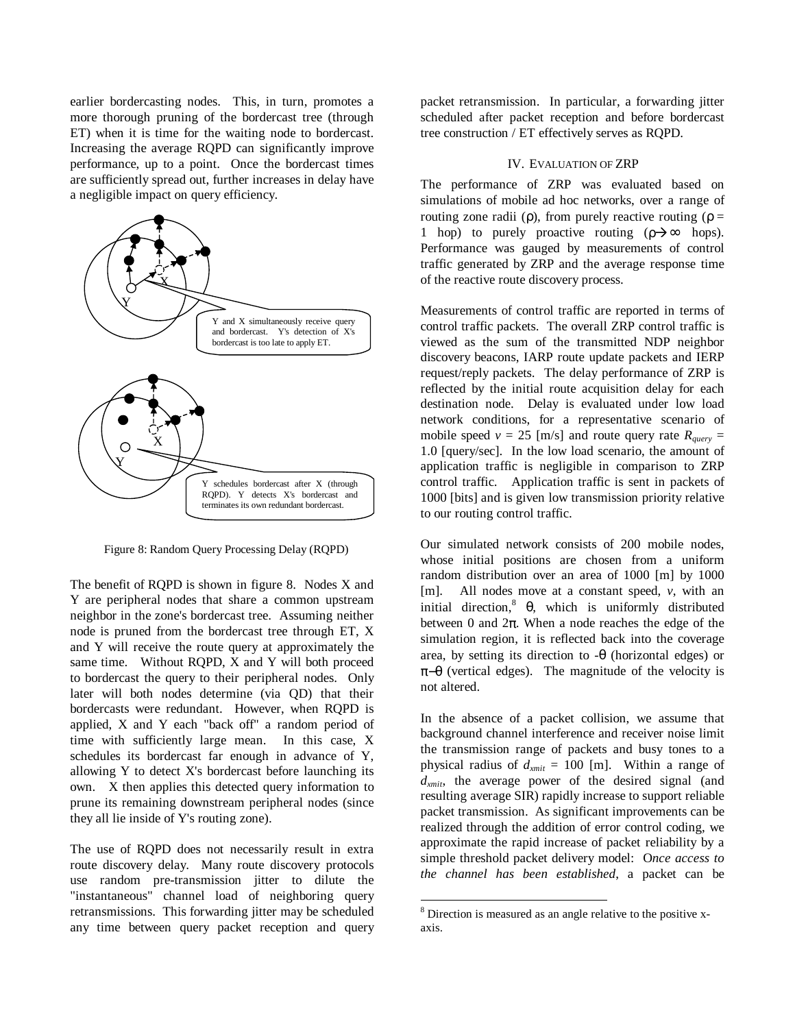earlier bordercasting nodes. This, in turn, promotes a more thorough pruning of the bordercast tree (through ET) when it is time for the waiting node to bordercast. Increasing the average RQPD can significantly improve performance, up to a point. Once the bordercast times are sufficiently spread out, further increases in delay have a negligible impact on query efficiency.



Figure 8: Random Query Processing Delay (RQPD)

The benefit of RQPD is shown in figure 8. Nodes X and Y are peripheral nodes that share a common upstream neighbor in the zone's bordercast tree. Assuming neither node is pruned from the bordercast tree through ET, X and Y will receive the route query at approximately the same time. Without RQPD, X and Y will both proceed to bordercast the query to their peripheral nodes. Only later will both nodes determine (via QD) that their bordercasts were redundant. However, when RQPD is applied, X and Y each "back off" a random period of time with sufficiently large mean. In this case, X schedules its bordercast far enough in advance of Y, allowing Y to detect X's bordercast before launching its own. X then applies this detected query information to prune its remaining downstream peripheral nodes (since they all lie inside of Y's routing zone).

The use of RQPD does not necessarily result in extra route discovery delay. Many route discovery protocols use random pre-transmission jitter to dilute the "instantaneous" channel load of neighboring query retransmissions. This forwarding jitter may be scheduled any time between query packet reception and query packet retransmission. In particular, a forwarding jitter scheduled after packet reception and before bordercast tree construction / ET effectively serves as RQPD.

## IV. EVALUATION OF ZRP

The performance of ZRP was evaluated based on simulations of mobile ad hoc networks, over a range of routing zone radii (ρ), from purely reactive routing ( $ρ =$ 1 hop) to purely proactive routing ( $\rho \rightarrow \infty$  hops). Performance was gauged by measurements of control traffic generated by ZRP and the average response time of the reactive route discovery process.

Measurements of control traffic are reported in terms of control traffic packets. The overall ZRP control traffic is viewed as the sum of the transmitted NDP neighbor discovery beacons, IARP route update packets and IERP request/reply packets. The delay performance of ZRP is reflected by the initial route acquisition delay for each destination node. Delay is evaluated under low load network conditions, for a representative scenario of mobile speed  $v = 25$  [m/s] and route query rate  $R_{query} =$ 1.0 [query/sec]. In the low load scenario, the amount of application traffic is negligible in comparison to ZRP control traffic. Application traffic is sent in packets of 1000 [bits] and is given low transmission priority relative to our routing control traffic.

Our simulated network consists of 200 mobile nodes, whose initial positions are chosen from a uniform random distribution over an area of 1000 [m] by 1000 [m]. All nodes move at a constant speed, *v*, with an initial direction,  $\theta$ , which is uniformly distributed between 0 and  $2\pi$ . When a node reaches the edge of the simulation region, it is reflected back into the coverage area, by setting its direction to -θ (horizontal edges) or  $\pi$ - $\theta$  (vertical edges). The magnitude of the velocity is not altered.

In the absence of a packet collision, we assume that background channel interference and receiver noise limit the transmission range of packets and busy tones to a physical radius of  $d_{xmit} = 100$  [m]. Within a range of *dxmit*, the average power of the desired signal (and resulting average SIR) rapidly increase to support reliable packet transmission. As significant improvements can be realized through the addition of error control coding, we approximate the rapid increase of packet reliability by a simple threshold packet delivery model: O*nce access to the channel has been established*, a packet can be

 <sup>8</sup> Direction is measured as an angle relative to the positive xaxis.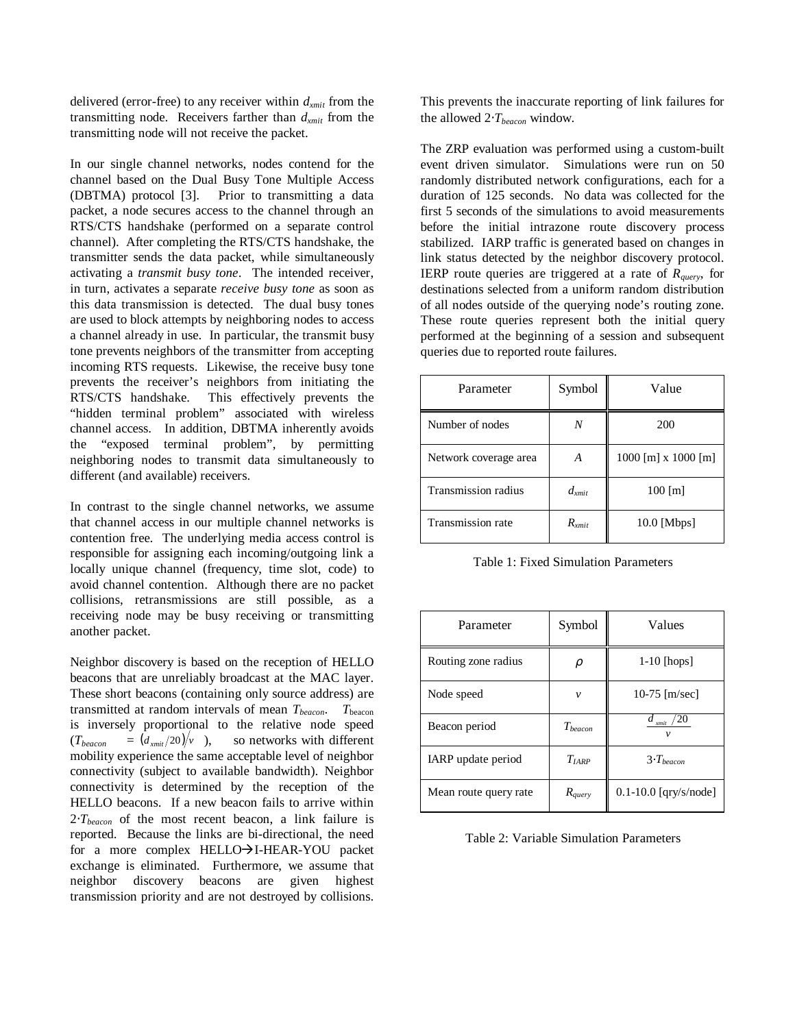delivered (error-free) to any receiver within *dxmit* from the transmitting node. Receivers farther than *dxmit* from the transmitting node will not receive the packet.

In our single channel networks, nodes contend for the channel based on the Dual Busy Tone Multiple Access (DBTMA) protocol [3]. Prior to transmitting a data packet, a node secures access to the channel through an RTS/CTS handshake (performed on a separate control channel). After completing the RTS/CTS handshake, the transmitter sends the data packet, while simultaneously activating a *transmit busy tone*. The intended receiver, in turn, activates a separate *receive busy tone* as soon as this data transmission is detected. The dual busy tones are used to block attempts by neighboring nodes to access a channel already in use. In particular, the transmit busy tone prevents neighbors of the transmitter from accepting incoming RTS requests. Likewise, the receive busy tone prevents the receiver's neighbors from initiating the RTS/CTS handshake. This effectively prevents the "hidden terminal problem" associated with wireless channel access. In addition, DBTMA inherently avoids the "exposed terminal problem", by permitting neighboring nodes to transmit data simultaneously to different (and available) receivers.

In contrast to the single channel networks, we assume that channel access in our multiple channel networks is contention free. The underlying media access control is responsible for assigning each incoming/outgoing link a locally unique channel (frequency, time slot, code) to avoid channel contention. Although there are no packet collisions, retransmissions are still possible, as a receiving node may be busy receiving or transmitting another packet.

Neighbor discovery is based on the reception of HELLO beacons that are unreliably broadcast at the MAC layer. These short beacons (containing only source address) are transmitted at random intervals of mean *Tbeacon*. *T*beacon is inversely proportional to the relative node speed  $(T_{beacon} = (d_{xmit}/20)/v)$ , so networks with different mobility experience the same acceptable level of neighbor connectivity (subject to available bandwidth). Neighbor connectivity is determined by the reception of the HELLO beacons. If a new beacon fails to arrive within  $2 \cdot T_{beacon}$  of the most recent beacon, a link failure is reported. Because the links are bi-directional, the need for a more complex HELLO $\rightarrow$ I-HEAR-YOU packet exchange is eliminated. Furthermore, we assume that neighbor discovery beacons are given highest transmission priority and are not destroyed by collisions.  $= (d_{xmit}/20)/v$  ),

This prevents the inaccurate reporting of link failures for the allowed 2⋅*Tbeacon* window.

The ZRP evaluation was performed using a custom-built event driven simulator. Simulations were run on 50 randomly distributed network configurations, each for a duration of 125 seconds. No data was collected for the first 5 seconds of the simulations to avoid measurements before the initial intrazone route discovery process stabilized. IARP traffic is generated based on changes in link status detected by the neighbor discovery protocol. IERP route queries are triggered at a rate of *Rquery*, for destinations selected from a uniform random distribution of all nodes outside of the querying node's routing zone. These route queries represent both the initial query performed at the beginning of a session and subsequent queries due to reported route failures.

| Parameter             | Symbol              | Value               |  |  |
|-----------------------|---------------------|---------------------|--|--|
| Number of nodes       | N                   | 200                 |  |  |
| Network coverage area | А                   | 1000 [m] x 1000 [m] |  |  |
| Transmission radius   | $d_{\textit{smit}}$ | $100$ [m]           |  |  |
| Transmission rate     | $R_{\text{rmit}}$   | $10.0$ [Mbps]       |  |  |

Table 1: Fixed Simulation Parameters

| Parameter             | Symbol              | Values                  |
|-----------------------|---------------------|-------------------------|
| Routing zone radius   |                     | $1-10$ [hops]           |
| Node speed            | ν                   | $10-75$ [m/sec]         |
| Beacon period         | $T_{\text{heacon}}$ | 20<br>xmit<br>ν         |
| IARP update period    | $T_{IARP}$          | $3 \cdot T_{beacon}$    |
| Mean route query rate | $R_{query}$         | $0.1-10.0$ [qry/s/node] |

Table 2: Variable Simulation Parameters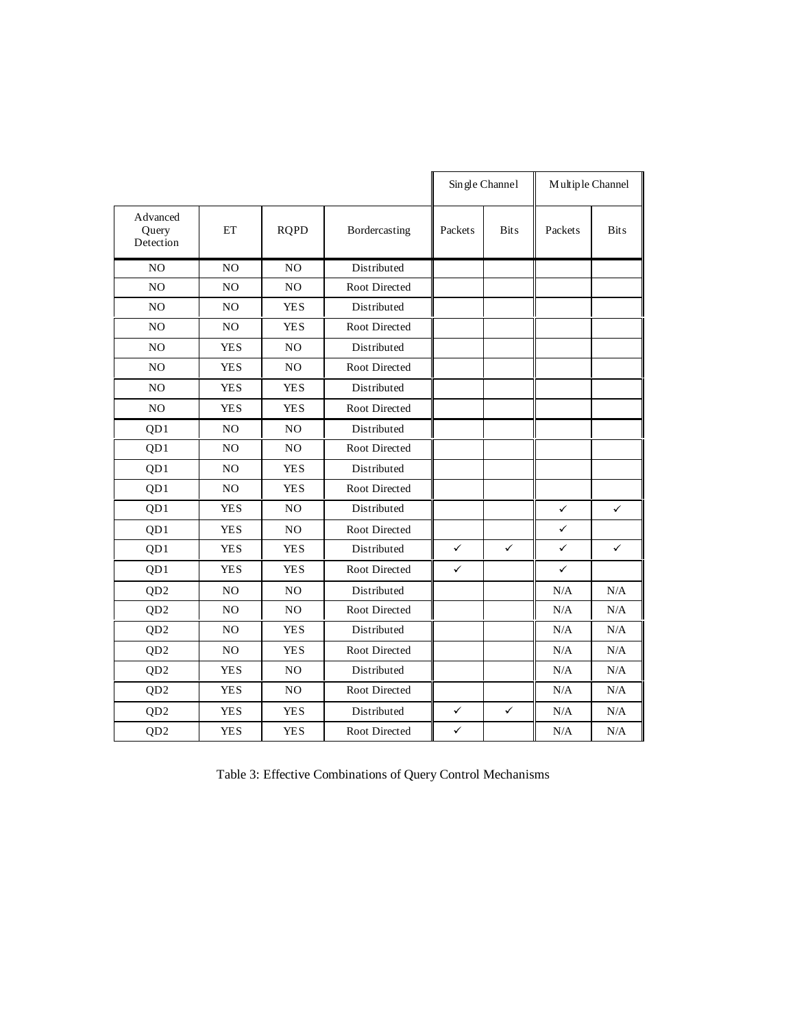|                                |                |                |               | Sin gle Channel |             | Multiple Channel |             |
|--------------------------------|----------------|----------------|---------------|-----------------|-------------|------------------|-------------|
| Advanced<br>Query<br>Detection | ET             | <b>RQPD</b>    | Bordercasting | Packets         | <b>Bits</b> | Packets          | <b>Bits</b> |
| N <sub>O</sub>                 | NO             | N <sub>O</sub> | Distributed   |                 |             |                  |             |
| N <sub>O</sub>                 | N <sub>O</sub> | N <sub>O</sub> | Root Directed |                 |             |                  |             |
| NO                             | N <sub>O</sub> | <b>YES</b>     | Distributed   |                 |             |                  |             |
| NO                             | N <sub>O</sub> | <b>YES</b>     | Root Directed |                 |             |                  |             |
| NO                             | <b>YES</b>     | NO             | Distributed   |                 |             |                  |             |
| NO                             | <b>YES</b>     | NO.            | Root Directed |                 |             |                  |             |
| N <sub>O</sub>                 | <b>YES</b>     | <b>YES</b>     | Distributed   |                 |             |                  |             |
| N <sub>O</sub>                 | <b>YES</b>     | <b>YES</b>     | Root Directed |                 |             |                  |             |
| QD1                            | N <sub>O</sub> | N <sub>O</sub> | Distributed   |                 |             |                  |             |
| QD1                            | N <sub>O</sub> | N <sub>O</sub> | Root Directed |                 |             |                  |             |
| QD1                            | N <sub>O</sub> | <b>YES</b>     | Distributed   |                 |             |                  |             |
| QD1                            | N <sub>O</sub> | <b>YES</b>     | Root Directed |                 |             |                  |             |
| QD1                            | <b>YES</b>     | N <sub>O</sub> | Distributed   |                 |             | ✓                | ✓           |
| QD1                            | <b>YES</b>     | NO.            | Root Directed |                 |             | ✓                |             |
| QD1                            | <b>YES</b>     | <b>YES</b>     | Distributed   | ✓               | ✓           | $\checkmark$     | ✓           |
| QD1                            | <b>YES</b>     | <b>YES</b>     | Root Directed | ✓               |             | $\checkmark$     |             |
| QD <sub>2</sub>                | N <sub>O</sub> | NO             | Distributed   |                 |             | N/A              | N/A         |
| QD <sub>2</sub>                | N <sub>O</sub> | $_{\rm NO}$    | Root Directed |                 |             | N/A              | N/A         |
| QD <sub>2</sub>                | N <sub>O</sub> | <b>YES</b>     | Distributed   |                 |             | N/A              | N/A         |
| QD <sub>2</sub>                | N <sub>O</sub> | <b>YES</b>     | Root Directed |                 |             | N/A              | $\rm N/A$   |
| QD <sub>2</sub>                | <b>YES</b>     | NO.            | Distributed   |                 |             | N/A              | N/A         |
| QD <sub>2</sub>                | <b>YES</b>     | NO.            | Root Directed |                 |             | N/A              | N/A         |
| QD <sub>2</sub>                | <b>YES</b>     | <b>YES</b>     | Distributed   | ✓               | ✓           | N/A              | N/A         |
| QD <sub>2</sub>                | <b>YES</b>     | <b>YES</b>     | Root Directed | ✓               |             | N/A              | N/A         |

Table 3: Effective Combinations of Query Control Mechanisms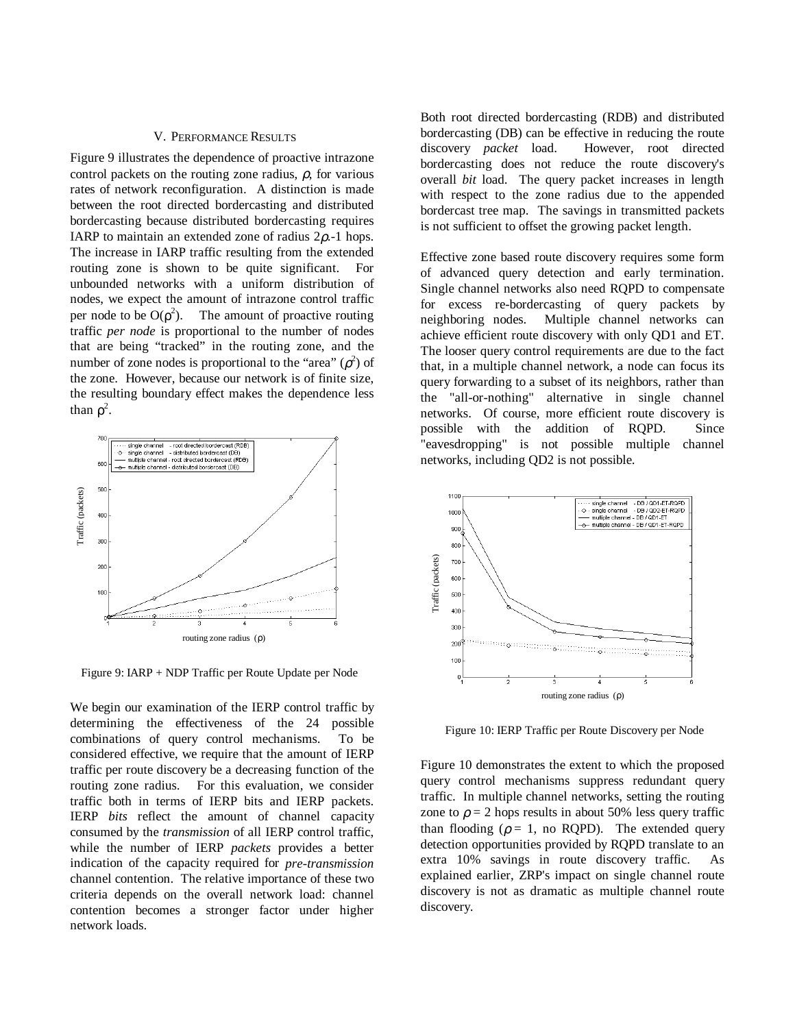#### V. PERFORMANCE RESULTS

Figure 9 illustrates the dependence of proactive intrazone control packets on the routing zone radius,  $\rho$ , for various rates of network reconfiguration. A distinction is made between the root directed bordercasting and distributed bordercasting because distributed bordercasting requires IARP to maintain an extended zone of radius  $2\rho$ -1 hops. The increase in IARP traffic resulting from the extended routing zone is shown to be quite significant. For unbounded networks with a uniform distribution of nodes, we expect the amount of intrazone control traffic per node to be  $O(\rho^2)$ . The amount of proactive routing traffic *per node* is proportional to the number of nodes that are being "tracked" in the routing zone, and the number of zone nodes is proportional to the "area"  $(\rho^2)$  of the zone. However, because our network is of finite size, the resulting boundary effect makes the dependence less than  $\rho^2$ .



Figure 9: IARP + NDP Traffic per Route Update per Node

We begin our examination of the IERP control traffic by determining the effectiveness of the 24 possible combinations of query control mechanisms. To be considered effective, we require that the amount of IERP traffic per route discovery be a decreasing function of the routing zone radius. For this evaluation, we consider traffic both in terms of IERP bits and IERP packets. IERP *bits* reflect the amount of channel capacity consumed by the *transmission* of all IERP control traffic, while the number of IERP *packets* provides a better indication of the capacity required for *pre-transmission* channel contention. The relative importance of these two criteria depends on the overall network load: channel contention becomes a stronger factor under higher network loads.

Both root directed bordercasting (RDB) and distributed bordercasting (DB) can be effective in reducing the route discovery *packet* load. However, root directed bordercasting does not reduce the route discovery's overall *bit* load. The query packet increases in length with respect to the zone radius due to the appended bordercast tree map. The savings in transmitted packets is not sufficient to offset the growing packet length.

Effective zone based route discovery requires some form of advanced query detection and early termination. Single channel networks also need RQPD to compensate for excess re-bordercasting of query packets by neighboring nodes. Multiple channel networks can achieve efficient route discovery with only QD1 and ET. The looser query control requirements are due to the fact that, in a multiple channel network, a node can focus its query forwarding to a subset of its neighbors, rather than the "all-or-nothing" alternative in single channel networks. Of course, more efficient route discovery is possible with the addition of RQPD. Since "eavesdropping" is not possible multiple channel networks, including QD2 is not possible.



Figure 10: IERP Traffic per Route Discovery per Node

Figure 10 demonstrates the extent to which the proposed query control mechanisms suppress redundant query traffic. In multiple channel networks, setting the routing zone to  $\rho = 2$  hops results in about 50% less query traffic than flooding ( $\rho = 1$ , no RQPD). The extended query detection opportunities provided by RQPD translate to an extra 10% savings in route discovery traffic. As explained earlier, ZRP's impact on single channel route discovery is not as dramatic as multiple channel route discovery.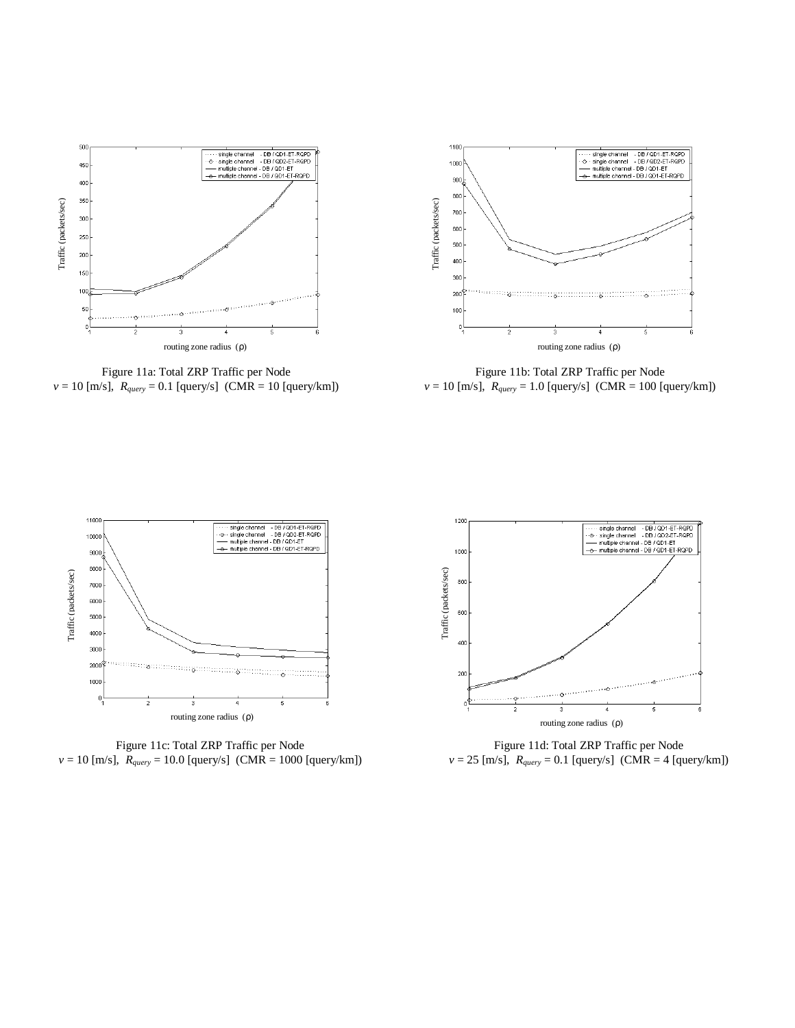

Figure 11a: Total ZRP Traffic per Node  $v = 10$  [m/s],  $R_{query} = 0.1$  [query/s] (CMR = 10 [query/km])



Figure 11b: Total ZRP Traffic per Node  $v = 10$  [m/s],  $R_{query} = 1.0$  [query/s] (CMR = 100 [query/km])



Figure 11c: Total ZRP Traffic per Node *v* = 10 [m/s], *Rquery* = 10.0 [query/s] (CMR = 1000 [query/km])



Figure 11d: Total ZRP Traffic per Node  $v = 25$  [m/s],  $R_{query} = 0.1$  [query/s] (CMR = 4 [query/km])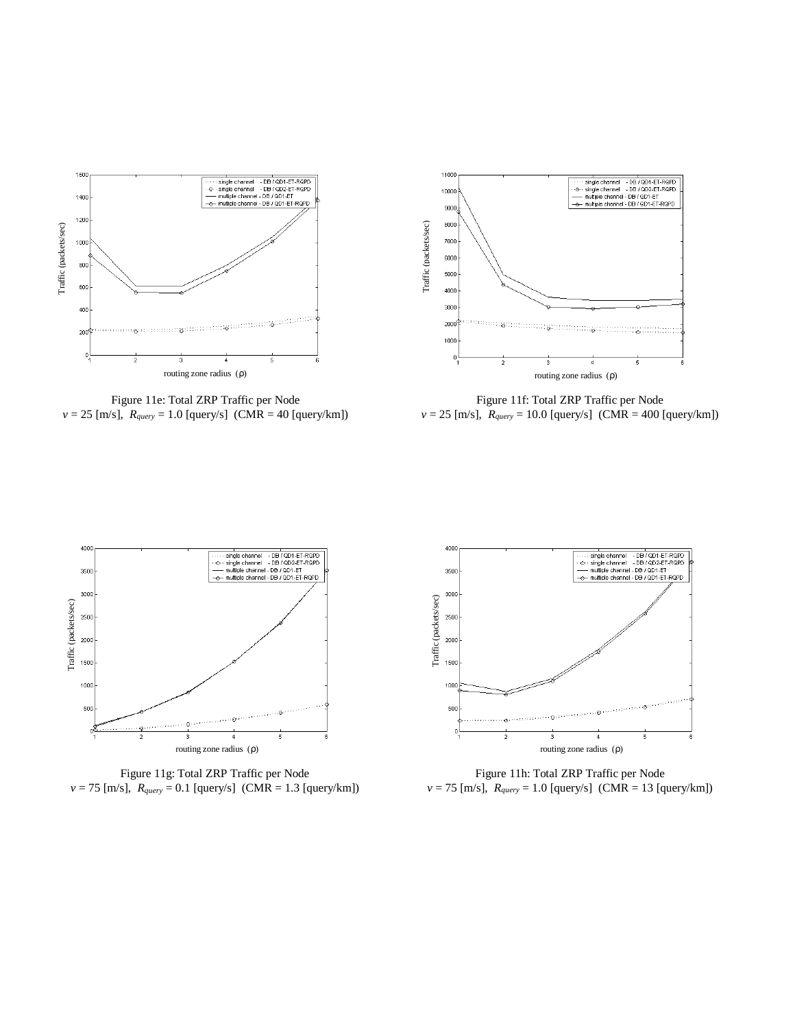

Figure 11e: Total ZRP Traffic per Node  $v = 25$  [m/s],  $R_{query} = 1.0$  [query/s] (CMR = 40 [query/km])



Figure 11f: Total ZRP Traffic per Node *v* = 25 [m/s], *Rquery* = 10.0 [query/s] (CMR = 400 [query/km])



Figure 11g: Total ZRP Traffic per Node  $v = 75$  [m/s],  $R_{query} = 0.1$  [query/s] (CMR = 1.3 [query/km])



Figure 11h: Total ZRP Traffic per Node  $v = 75$  [m/s],  $R_{query} = 1.0$  [query/s] (CMR = 13 [query/km])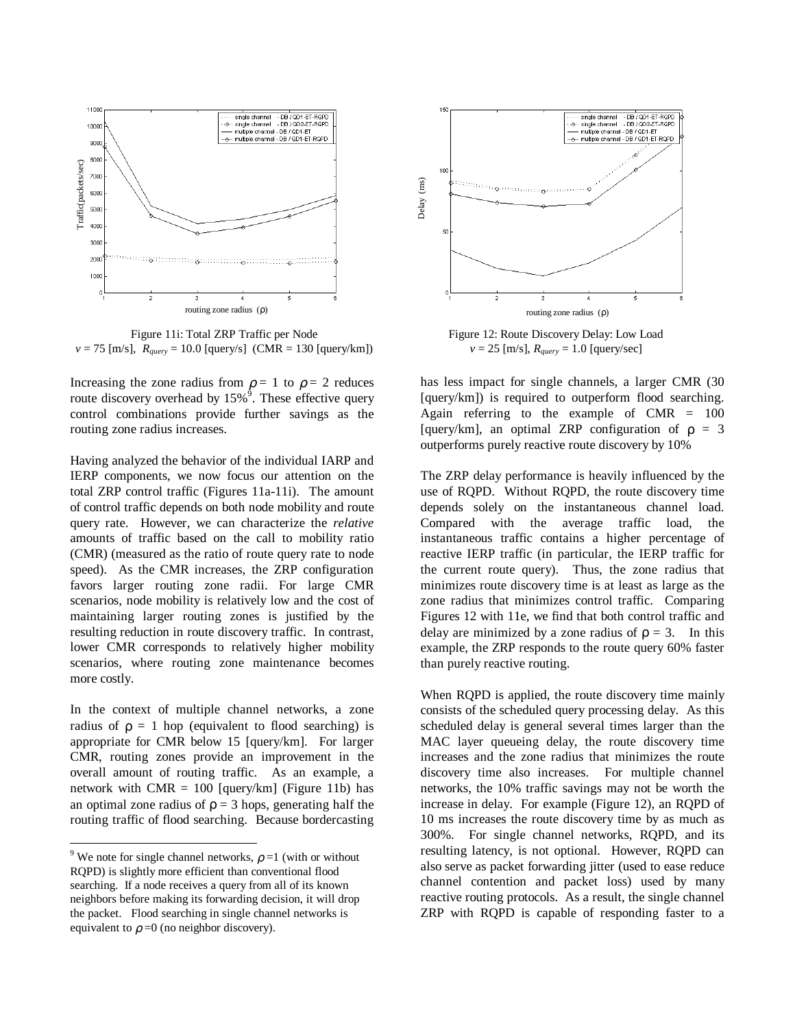

Figure 11i: Total ZRP Traffic per Node  $v = 75$  [m/s],  $R_{query} = 10.0$  [query/s] (CMR = 130 [query/km])

Increasing the zone radius from  $\rho = 1$  to  $\rho = 2$  reduces route discovery overhead by  $15\%$ <sup>9</sup>. These effective query control combinations provide further savings as the routing zone radius increases.

Having analyzed the behavior of the individual IARP and IERP components, we now focus our attention on the total ZRP control traffic (Figures 11a-11i). The amount of control traffic depends on both node mobility and route query rate. However, we can characterize the *relative* amounts of traffic based on the call to mobility ratio (CMR) (measured as the ratio of route query rate to node speed). As the CMR increases, the ZRP configuration favors larger routing zone radii. For large CMR scenarios, node mobility is relatively low and the cost of maintaining larger routing zones is justified by the resulting reduction in route discovery traffic. In contrast, lower CMR corresponds to relatively higher mobility scenarios, where routing zone maintenance becomes more costly.

In the context of multiple channel networks, a zone radius of  $\rho = 1$  hop (equivalent to flood searching) is appropriate for CMR below 15 [query/km]. For larger CMR, routing zones provide an improvement in the overall amount of routing traffic. As an example, a network with  $CMR = 100$  [query/km] (Figure 11b) has an optimal zone radius of  $\rho = 3$  hops, generating half the routing traffic of flood searching. Because bordercasting



Figure 12: Route Discovery Delay: Low Load  $v = 25$  [m/s],  $R_{query} = 1.0$  [query/sec]

has less impact for single channels, a larger CMR (30 [query/km]) is required to outperform flood searching. Again referring to the example of  $CMR = 100$ [query/km], an optimal ZRP configuration of  $\rho = 3$ outperforms purely reactive route discovery by 10%

The ZRP delay performance is heavily influenced by the use of RQPD. Without RQPD, the route discovery time depends solely on the instantaneous channel load. Compared with the average traffic load, the instantaneous traffic contains a higher percentage of reactive IERP traffic (in particular, the IERP traffic for the current route query). Thus, the zone radius that minimizes route discovery time is at least as large as the zone radius that minimizes control traffic. Comparing Figures 12 with 11e, we find that both control traffic and delay are minimized by a zone radius of  $\rho = 3$ . In this example, the ZRP responds to the route query 60% faster than purely reactive routing.

When RQPD is applied, the route discovery time mainly consists of the scheduled query processing delay. As this scheduled delay is general several times larger than the MAC layer queueing delay, the route discovery time increases and the zone radius that minimizes the route discovery time also increases. For multiple channel networks, the 10% traffic savings may not be worth the increase in delay. For example (Figure 12), an RQPD of 10 ms increases the route discovery time by as much as 300%. For single channel networks, RQPD, and its resulting latency, is not optional. However, RQPD can also serve as packet forwarding jitter (used to ease reduce channel contention and packet loss) used by many reactive routing protocols. As a result, the single channel ZRP with RQPD is capable of responding faster to a

<sup>-&</sup>lt;br>9 <sup>9</sup> We note for single channel networks,  $\rho = 1$  (with or without RQPD) is slightly more efficient than conventional flood searching. If a node receives a query from all of its known neighbors before making its forwarding decision, it will drop the packet. Flood searching in single channel networks is equivalent to  $\rho = 0$  (no neighbor discovery).